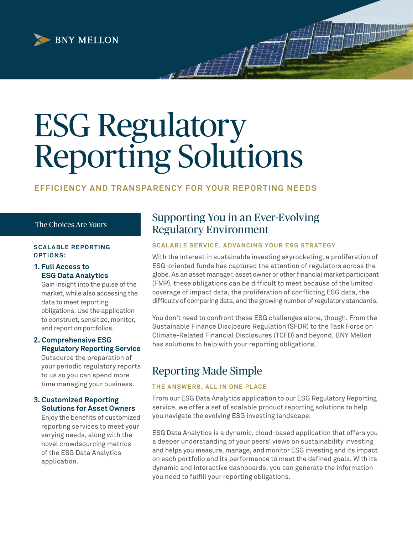

# ESG Regulatory Reporting Solutions

## **EFFICIENCY AND TRANSPARENCY FOR YOUR REPORTING NEEDS**

#### The Choices Are Yours

#### **SCALABLE REPORTING O P T I O N S:**

#### **1. Full Access to ESG Data Analytics**

 Gain insight into the pulse of the market, while also accessing the data to meet reporting obligations. Use the application to construct, sensitize, monitor, and report on portfolios.

## **2. Comprehensive ESG Regulatory Reporting Service**

 Outsource the preparation of your periodic regulatory reports to us so you can spend more time managing your business.

#### **3. Customized Reporting Solutions for Asset Owners**

 Enjoy the benefits of customized reporting services to meet your varying needs, along with the novel crowdsourcing metrics of the ESG Data Analytics application.

# Supporting You in an Ever-Evolving Regulatory Environment

## **SCALABLE SERVICE. ADVANCING YOUR ESG STRATEGY**

With the interest in sustainable investing skyrocketing, a proliferation of ESG-oriented funds has captured the attention of regulators across the globe. As an asset manager, asset owner or other financial market participant (FMP), these obligations can be difficult to meet because of the limited coverage of impact data, the proliferation of conflicting ESG data, the difficulty of comparing data, and the growing number of regulatory standards.

You don't need to confront these ESG challenges alone, though. From the Sustainable Finance Disclosure Regulation (SFDR) to the Task Force on Climate-Related Financial Disclosures (TCFD) and beyond, BNY Mellon has solutions to help with your reporting obligations.

# Reporting Made Simple

## **THE ANSWERS, ALL IN ONE PLACE**

From our ESG Data Analytics application to our ESG Regulatory Reporting service, we offer a set of scalable product reporting solutions to help you navigate the evolving ESG investing landscape.

ESG Data Analytics is a dynamic, cloud-based application that offers you a deeper understanding of your peers' views on sustainability investing and helps you measure, manage, and monitor ESG investing and its impact on each portfolio and its performance to meet the defined goals. With its dynamic and interactive dashboards, you can generate the information you need to fulfill your reporting obligations.